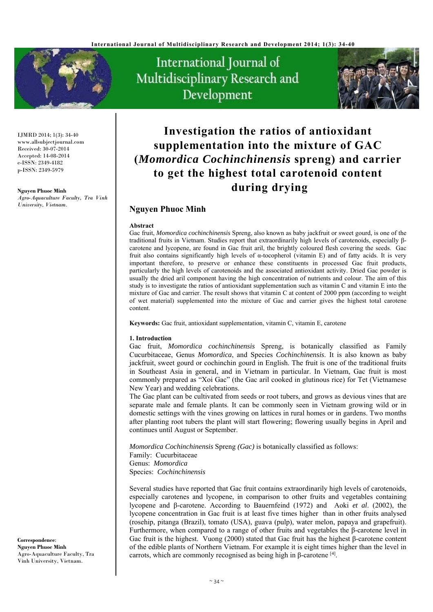

IJMRD 2014; 1(3): 34-40 www.allsubjectjournal.com Received: 30-07-2014 Accepted: 14-08-2014 e-ISSN: 2349-4182 p-ISSN: 2349-5979

#### **Nguyen Phuoc Minh**

*Agro-Aquaculture Faculty, Tra Vinh University, Vietnam.* 

International Journal of Multidisciplinary Research and Development



# **Investigation the ratios of antioxidant supplementation into the mixture of GAC (***Momordica Cochinchinensis* **spreng) and carrier to get the highest total carotenoid content during drying**

## **Nguyen Phuoc Minh**

#### **Abstract**

Gac fruit, *Momordica cochinchinensis* Spreng, also known as baby jackfruit or sweet gourd, is one of the traditional fruits in Vietnam. Studies report that extraordinarily high levels of carotenoids, especially βcarotene and lycopene, are found in Gac fruit aril, the brightly coloured flesh covering the seeds. Gac fruit also contains significantly high levels of  $\alpha$ -tocopherol (vitamin E) and of fatty acids. It is very important therefore, to preserve or enhance these constituents in processed Gac fruit products, particularly the high levels of carotenoids and the associated antioxidant activity. Dried Gac powder is usually the dried aril component having the high concentration of nutrients and colour. The aim of this study is to investigate the ratios of antioxidant supplementation such as vitamin C and vitamin E into the mixture of Gac and carrier. The result shows that vitamin C at content of 2000 ppm (according to weight of wet material) supplemented into the mixture of Gac and carrier gives the highest total carotene content.

**Keywords:** Gac fruit, antioxidant supplementation, vitamin C, vitamin E, carotene

#### **1. Introduction**

Gac fruit, *Momordica cochinchinensis* Spreng, is botanically classified as Family Cucurbitaceae, Genus *Momordica*, and Species *Cochinchinensis*. It is also known as baby jackfruit, sweet gourd or cochinchin gourd in English. The fruit is one of the traditional fruits in Southeast Asia in general, and in Vietnam in particular. In Vietnam, Gac fruit is most commonly prepared as "Xoi Gac" (the Gac aril cooked in glutinous rice) for Tet (Vietnamese New Year) and wedding celebrations.

The Gac plant can be cultivated from seeds or root tubers, and grows as devious vines that are separate male and female plants. It can be commonly seen in Vietnam growing wild or in domestic settings with the vines growing on lattices in rural homes or in gardens. Two months after planting root tubers the plant will start flowering; flowering usually begins in April and continues until August or September.

*Momordica Cochinchinensis* Spreng *(Gac)* is botanically classified as follows: Family: Cucurbitaceae Genus: *Momordica*  Species: *Cochinchinensis*

Several studies have reported that Gac fruit contains extraordinarily high levels of carotenoids, especially carotenes and lycopene, in comparison to other fruits and vegetables containing lycopene and β-carotene. According to Bauernfeind (1972) and Aoki *et al*. (2002), the lycopene concentration in Gac fruit is at least five times higher than in other fruits analysed (rosehip, pitanga (Brazil), tomato (USA), guava (pulp), water melon, papaya and grapefruit). Furthermore, when compared to a range of other fruits and vegetables the β-carotene level in Gac fruit is the highest. Vuong (2000) stated that Gac fruit has the highest β-carotene content of the edible plants of Northern Vietnam. For example it is eight times higher than the level in carrots, which are commonly recognised as being high in β-carotene [4].

**Correspondence**: **Nguyen Phuoc Minh** Agro-Aquaculture Faculty, Tra Vinh University, Vietnam.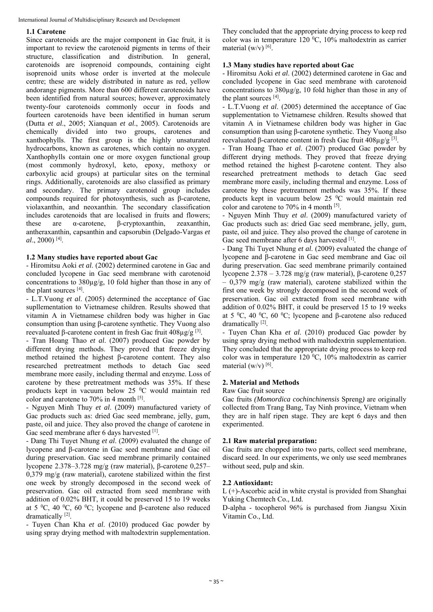International Journal of Multidisciplinary Research and Development

#### **1.1 Carotene**

Since carotenoids are the major component in Gac fruit, it is important to review the carotenoid pigments in terms of their structure, classification and distribution. In general, carotenoids are isoprenoid compounds, containing eight isoprenoid units whose order is inverted at the molecule centre; these are widely distributed in nature as red, yellow andorange pigments. More than 600 different carotenoids have been identified from natural sources; however, approximately twenty-four carotenoids commonly occur in foods and fourteen carotenoids have been identified in human serum (Dutta *et al*., 2005; Xianquan *et al*., 2005). Carotenoids are chemically divided into two groups, carotenes and xanthophylls. The first group is the highly unsaturated hydrocarbons, known as carotenes, which contain no oxygen. Xanthophylls contain one or more oxygen functional group (most commonly hydroxyl, keto, epoxy, methoxy or carboxylic acid groups) at particular sites on the terminal rings. Additionally, carotenoids are also classified as primary and secondary. The primary carotenoid group includes compounds required for photosynthesis, such as β-carotene, violaxanthin, and neoxanthin. The secondary classification includes carotenoids that are localised in fruits and flowers; these are α-carotene, β-cryptoxanthin, zeaxanthin, antheraxanthin, capsanthin and capsorubin (Delgado-Vargas *et al*., 2000) [4].

#### **1.2 Many studies have reported about Gac**

- Hiromitsu Aoki *et al*. (2002) determined carotene in Gac and concluded lycopene in Gac seed membrane with carotenoid concentrations to 380µg/g, 10 fold higher than those in any of the plant sources [4].

- L.T.Vuong *et al*. (2005) determined the acceptance of Gac supllementation to Vietnamese children. Results showed that vitamin A in Vietnamese children body was higher in Gac consumption than using β-carotene synthetic. They Vuong also reevaluated β-carotene content in fresh Gac fruit 408µg/g [3].

- Tran Hoang Thao *et al*. (2007) produced Gac powder by different drying methods. They proved that freeze drying method retained the highest β-carotene content. They also researched pretreatment methods to detach Gac seed membrane more easily, including thermal and enzyme. Loss of carotene by these pretreatment methods was 35%. If these products kept in vacuum below 25 °C would maintain red color and carotene to 70% in 4 month [5].

- Nguyen Minh Thuy *et al*. (2009) manufactured variety of Gac products such as: dried Gac seed membrane, jelly, gum, paste, oil and juice. They also proved the change of carotene in Gac seed membrane after 6 days harvested [1].

- Dang Thi Tuyet Nhung *et al*. (2009) evaluated the change of lycopene and β-carotene in Gac seed membrane and Gac oil during preservation. Gac seed membrane primarily contained lycopene 2.378–3.728 mg/g (raw material), β-carotene 0,257– 0,379 mg/g (raw material), carotene stabilized within the first one week by strongly decomposed in the second week of preservation. Gac oil extracted from seed membrane with addition of 0.02% BHT, it could be preserved 15 to 19 weeks at 5 <sup>o</sup>C, 40 <sup>o</sup>C, 60 <sup>o</sup>C; lycopene and β-carotene also reduced dramatically [2].

- Tuyen Chan Kha *et al*. (2010) produced Gac powder by using spray drying method with maltodextrin supplementation. They concluded that the appropriate drying process to keep red color was in temperature 120  $^0C$ , 10% maltodextrin as carrier material  $(w/v)$  [6].

#### **1.3 Many studies have reported about Gac**

- Hiromitsu Aoki *et al*. (2002) determined carotene in Gac and concluded lycopene in Gac seed membrane with carotenoid concentrations to 380µg/g, 10 fold higher than those in any of the plant sources [4].

- L.T.Vuong *et al*. (2005) determined the acceptance of Gac supplementation to Vietnamese children. Results showed that vitamin A in Vietnamese children body was higher in Gac consumption than using β-carotene synthetic. They Vuong also reevaluated β-carotene content in fresh Gac fruit  $408\mu$ g/g<sup>[3]</sup>.

- Tran Hoang Thao *et al*. (2007) produced Gac powder by different drying methods. They proved that freeze drying method retained the highest β-carotene content. They also researched pretreatment methods to detach Gac seed membrane more easily, including thermal and enzyme. Loss of carotene by these pretreatment methods was 35%. If these products kept in vacuum below 25 °C would maintain red color and carotene to 70% in 4 month [5].

- Nguyen Minh Thuy *et al*. (2009) manufactured variety of Gac products such as: dried Gac seed membrane, jelly, gum, paste, oil and juice. They also proved the change of carotene in Gac seed membrane after 6 days harvested [1].

- Dang Thi Tuyet Nhung *et al*. (2009) evaluated the change of lycopene and β-carotene in Gac seed membrane and Gac oil during preservation. Gac seed membrane primarily contained lycopene 2.378 – 3.728 mg/g (raw material), β-carotene 0,257  $-$  0,379 mg/g (raw material), carotene stabilized within the first one week by strongly decomposed in the second week of preservation. Gac oil extracted from seed membrane with addition of 0.02% BHT, it could be preserved 15 to 19 weeks at 5  ${}^{0}C$ , 40  ${}^{0}C$ , 60  ${}^{0}C$ ; lycopene and β-carotene also reduced dramatically [2].

- Tuyen Chan Kha *et al*. (2010) produced Gac powder by using spray drying method with maltodextrin supplementation. They concluded that the appropriate drying process to keep red color was in temperature 120  $^{\circ}$ C, 10% maltodextrin as carrier material  $(w/v)^{[6]}$ .

#### **2. Material and Methods**

#### Raw Gac fruit source

Gac fruits *(Momordica cochinchinensis* Spreng*)* are originally collected from Trang Bang, Tay Ninh province, Vietnam when they are in half ripen stage. They are kept 6 days and then experimented.

#### **2.1 Raw material preparation:**

Gac fruits are chopped into two parts, collect seed membrane, discard seed. In our experiments, we only use seed membranes without seed, pulp and skin.

#### **2.2 Antioxidant:**

L (+)-Ascorbic acid in white crystal is provided from Shanghai Yuking Chemtech Co., Ltd.

D-alpha - tocopherol 96% is purchased from Jiangsu Xixin Vitamin Co., Ltd.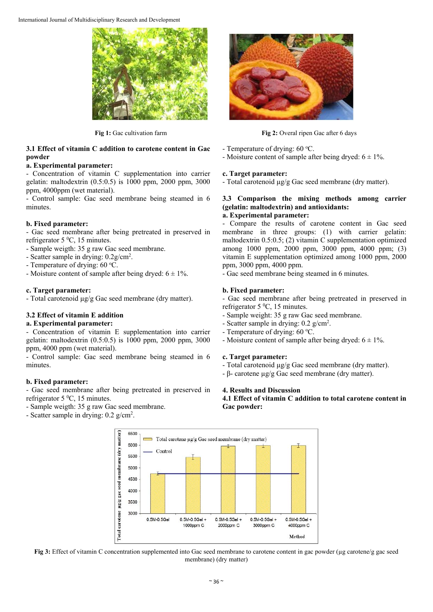International Journal of Multidisciplinary Research and Development



#### **3.1 Effect of vitamin C addition to carotene content in Gac powder**

## **a. Experimental parameter:**

- Concentration of vitamin C supplementation into carrier gelatin: maltodextrin (0.5:0.5) is 1000 ppm, 2000 ppm, 3000 ppm, 4000ppm (wet material).

- Control sample: Gac seed membrane being steamed in 6 minutes.

## **b. Fixed parameter:**

- Gac seed membrane after being pretreated in preserved in refrigerator  $5\,^0C$ , 15 minutes.

- Sample weigth: 35 g raw Gac seed membrane.
- Scatter sample in drying:  $0.2$ g/cm<sup>2</sup>.
- Temperature of drying: 60 °C.
- Moisture content of sample after being dryed:  $6 \pm 1\%$ .

#### **c. Target parameter:**

- Total carotenoid µg/g Gac seed membrane (dry matter).

## **3.2 Effect of vitamin E addition**

## **a. Experimental parameter:**

- Concentration of vitamin E supplementation into carrier gelatin: maltodextrin (0.5:0.5) is 1000 ppm, 2000 ppm, 3000 ppm, 4000 ppm (wet material).

- Control sample: Gac seed membrane being steamed in 6 minutes.

## **b. Fixed parameter:**

- Gac seed membrane after being pretreated in preserved in refrigerator  $5\,^0C$ , 15 minutes.

- Sample weigth: 35 g raw Gac seed membrane.

- Scatter sample in drying: 0.2 g/cm<sup>2</sup>.



**Fig 1:** Gac cultivation farm **Fig 2:** Overal ripen Gac after 6 days

- Temperature of drying: 60 °C.
- Moisture content of sample after being dryed:  $6 \pm 1\%$ .

#### **c. Target parameter:**

- Total carotenoid µg/g Gac seed membrane (dry matter).

## **3.3 Comparison the mixing methods among carrier (gelatin: maltodextrin) and antioxidants:**

## **a. Experimental parameter:**

- Compare the results of carotene content in Gac seed membrane in three groups: (1) with carrier gelatin: maltodextrin 0.5:0.5; (2) vitamin C supplementation optimized among 1000 ppm, 2000 ppm, 3000 ppm, 4000 ppm; (3) vitamin E supplementation optimized among 1000 ppm, 2000 ppm, 3000 ppm, 4000 ppm.

- Gac seed membrane being steamed in 6 minutes.

## **b. Fixed parameter:**

- Gac seed membrane after being pretreated in preserved in refrigerator  $5\,^0C$ , 15 minutes.

- Sample weight: 35 g raw Gac seed membrane.
- Scatter sample in drying: 0.2 g/cm<sup>2</sup>.
- Temperature of drying: 60 °C.
- Moisture content of sample after being dryed:  $6 \pm 1\%$ .

## **c. Target parameter:**

- Total carotenoid µg/g Gac seed membrane (dry matter).
- β- carotene µg/g Gac seed membrane (dry matter).

## **4. Results and Discussion**

**4.1 Effect of vitamin C addition to total carotene content in Gac powder:** 



**Fig 3:** Effect of vitamin C concentration supplemented into Gac seed membrane to carotene content in gac powder (µg carotene/g gac seed membrane) (dry matter)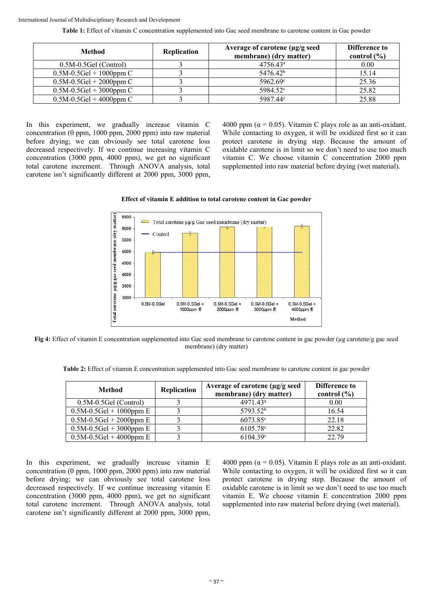**Table 1:** Effect of vitamin C concentration supplemented into Gac seed membrane to carotene content in Gac powder

| Method                    | <b>Replication</b> | Average of carotene $\mu$ g/g seed<br>membrane) (dry matter) | <b>Difference to</b><br>control $(\% )$ |
|---------------------------|--------------------|--------------------------------------------------------------|-----------------------------------------|
| $0.5M-0.5$ Gel (Control)  |                    | $4756.43^{\circ}$                                            | 0.00                                    |
| $0.5M-0.5Gel + 1000ppm C$ |                    | 5476.42 <sup>b</sup>                                         | 15.14                                   |
| $0.5M-0.5Gel + 2000ppm C$ |                    | 5962.69 <sup>c</sup>                                         | 25.36                                   |
| $0.5M-0.5Gel + 3000ppm C$ |                    | 5984.52 <sup>c</sup>                                         | 25.82                                   |
| $0.5M-0.5Gel + 4000ppm C$ |                    | 5987.44 <sup>c</sup>                                         | 25.88                                   |

In this experiment, we gradually increase vitamin C concentration (0 ppm, 1000 ppm, 2000 ppm) into raw material before drying; we can obviously see total carotene loss decreased respectively. If we continue increasing vitamin C concentration (3000 ppm, 4000 ppm), we get no significant total carotene increment. Through ANOVA analysis, total carotene isn't significantly different at 2000 ppm, 3000 ppm, 4000 ppm ( $\alpha$  = 0.05). Vitamin C plays role as an anti-oxidant. While contacting to oxygen, it will be oxidized first so it can protect carotene in drying step. Because the amount of oxidable carotene is in limit so we don't need to use too much vitamin C. We choose vitamin C concentration 2000 ppm supplemented into raw material before drying (wet material).

#### **Effect of vitamin E addition to total carotene content in Gac powder**



**Fig 4:** Effect of vitamin E concentration supplemented into Gac seed membrane to carotene content in gac powder (µg carotene/g gac seed membrane) (dry matter)

**Table 2:** Effect of vitamin E concentration supplemented into Gac seed membrane to carotene content in gac powder

| Method                    | Replication | Average of carotene (µg/g seed<br>membrane) (dry matter) | Difference to<br>control $(\% )$ |
|---------------------------|-------------|----------------------------------------------------------|----------------------------------|
| $0.5M-0.5$ Gel (Control)  |             | 4971.43 <sup>a</sup>                                     | 0.00                             |
| $0.5M-0.5Gel + 1000ppm E$ |             | 5793.52 <sup>b</sup>                                     | 16.54                            |
| $0.5M-0.5Gel + 2000ppm E$ |             | 6073.85 <sup>c</sup>                                     | 22.18                            |
| $0.5M-0.5Gel + 3000ppm E$ |             | 6105.78 <sup>c</sup>                                     | 22.82                            |
| $0.5M-0.5Gel + 4000ppm E$ |             | 6104.39c                                                 | 22.79                            |

In this experiment, we gradually increase vitamin E concentration (0 ppm, 1000 ppm, 2000 ppm) into raw material before drying; we can obviously see total carotene loss decreased respectively. If we continue increasing vitamin E concentration (3000 ppm, 4000 ppm), we get no significant total carotene increment. Through ANOVA analysis, total carotene isn't significantly different at 2000 ppm, 3000 ppm,

4000 ppm ( $\alpha$  = 0.05). Vitamin E plays role as an anti-oxidant. While contacting to oxygen, it will be oxidized first so it can protect carotene in drying step. Because the amount of oxidable carotene is in limit so we don't need to use too much vitamin E. We choose vitamin E concentration 2000 ppm supplemented into raw material before drying (wet material).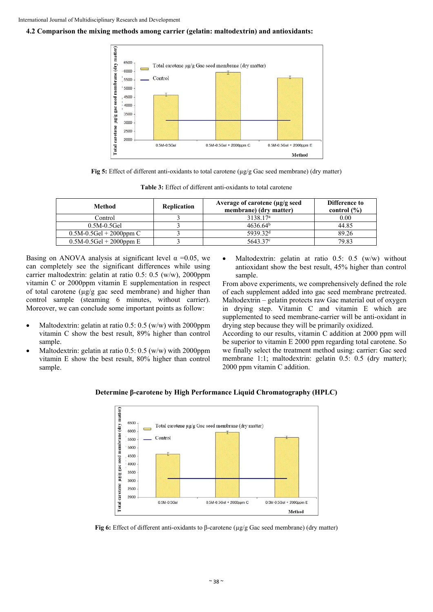#### **4.2 Comparison the mixing methods among carrier (gelatin: maltodextrin) and antioxidants:**



**Fig 5:** Effect of different anti-oxidants to total carotene (µg/g Gac seed membrane) (dry matter)

| Method                      | Replication | Average of carotene (µg/g seed<br>membrane) (dry matter) | Difference to<br>control $(\% )$ |
|-----------------------------|-------------|----------------------------------------------------------|----------------------------------|
| Control                     |             | 3138.17 <sup>a</sup>                                     | 0.00                             |
| $0.5M-0.5$ Gel              |             | 4636.64 <sup>b</sup>                                     | 44.85                            |
| $0.5M - 0.5Gel + 2000ppm C$ |             | 5939.32 <sup>d</sup>                                     | 89.26                            |
| $0.5M-0.5$ Gel + 2000ppm E  |             | 5643.37 <sup>c</sup>                                     | 79.83                            |

**Table 3:** Effect of different anti-oxidants to total carotene

Basing on ANOVA analysis at significant level  $\alpha$  =0.05, we can completely see the significant differences while using carrier maltodextrin: gelatin at ratio 0.5: 0.5 (w/w), 2000ppm vitamin C or 2000ppm vitamin E supplementation in respect of total carotene  $(\mu g/g)$  gac seed membrane) and higher than control sample (steaming 6 minutes, without carrier). Moreover, we can conclude some important points as follow:

- Maltodextrin: gelatin at ratio 0.5: 0.5 (w/w) with 2000ppm vitamin C show the best result, 89% higher than control sample.
- Maltodextrin: gelatin at ratio 0.5: 0.5 (w/w) with 2000ppm vitamin E show the best result, 80% higher than control sample.

 Maltodextrin: gelatin at ratio 0.5: 0.5 (w/w) without antioxidant show the best result, 45% higher than control sample.

From above experiments, we comprehensively defined the role of each supplement added into gac seed membrane pretreated. Maltodextrin – gelatin protects raw Gac material out of oxygen in drying step. Vitamin C and vitamin E which are supplemented to seed membrane-carrier will be anti-oxidant in drying step because they will be primarily oxidized.

According to our results, vitamin C addition at 2000 ppm will be superior to vitamin E 2000 ppm regarding total carotene. So we finally select the treatment method using: carrier: Gac seed membrane 1:1; maltodextrin: gelatin 0.5: 0.5 (dry matter); 2000 ppm vitamin C addition.





**Fig 6:** Effect of different anti-oxidants to β-carotene (µg/g Gac seed membrane) (dry matter)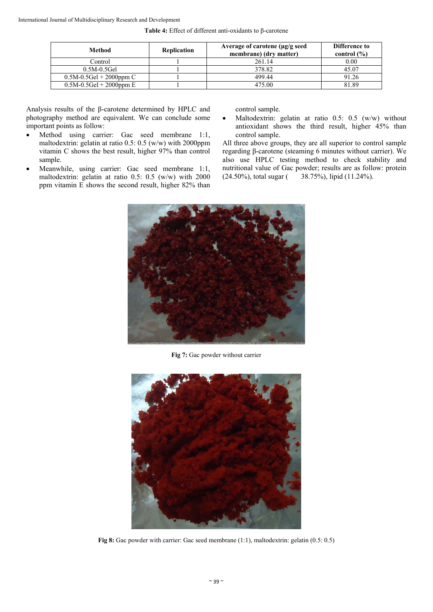| Method                      | Replication | Average of carotene $\mu$ g/g seed<br>membrane) (dry matter) | Difference to<br>control $(\% )$ |
|-----------------------------|-------------|--------------------------------------------------------------|----------------------------------|
| Control                     |             | 261.14                                                       | 0.00                             |
| $0.5M-0.5$ Gel              |             | 378.82                                                       | 45.07                            |
| $0.5M - 0.5Gel + 2000ppm C$ |             | 499.44                                                       | 91.26                            |
| $0.5M-0.5Gel + 2000ppm E$   |             | 475.00                                                       | 81.89                            |

Analysis results of the β-carotene determined by HPLC and photography method are equivalent. We can conclude some important points as follow:

- Method using carrier: Gac seed membrane 1:1, maltodextrin: gelatin at ratio 0.5: 0.5 (w/w) with 2000ppm vitamin C shows the best result, higher 97% than control sample.
- Meanwhile, using carrier: Gac seed membrane 1:1, maltodextrin: gelatin at ratio 0.5: 0.5 (w/w) with 2000 ppm vitamin E shows the second result, higher 82% than

control sample.

• Maltodextrin: gelatin at ratio  $0.5$ :  $0.5$  (w/w) without antioxidant shows the third result, higher 45% than control sample.

All three above groups, they are all superior to control sample regarding β-carotene (steaming 6 minutes without carrier). We also use HPLC testing method to check stability and nutritional value of Gac powder; results are as follow: protein (24.50%), total sugar ( 38.75%), lipid (11.24%).



**Fig 7:** Gac powder without carrier



Fig 8: Gac powder with carrier: Gac seed membrane (1:1), maltodextrin: gelatin (0.5: 0.5)